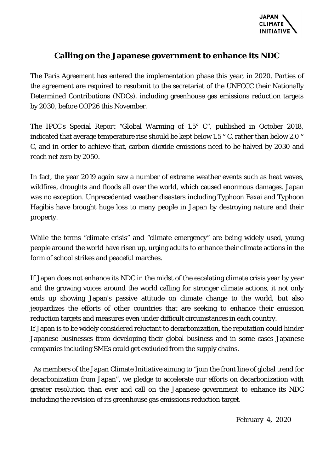

## **Calling on the Japanese government to enhance its NDC**

The Paris Agreement has entered the implementation phase this year, in 2020. Parties of the agreement are required to resubmit to the secretariat of the UNFCCC their Nationally Determined Contributions (NDCs), including greenhouse gas emissions reduction targets by 2030, before COP26 this November.

The IPCC's Special Report "Global Warming of 1.5° C", published in October 2018, indicated that average temperature rise should be kept below 1.5 ° C, rather than below 2.0 ° C, and in order to achieve that, carbon dioxide emissions need to be halved by 2030 and reach net zero by 2050.

In fact, the year 2019 again saw a number of extreme weather events such as heat waves, wildfires, droughts and floods all over the world, which caused enormous damages. Japan was no exception. Unprecedented weather disasters including Typhoon Faxai and Typhoon Hagibis have brought huge loss to many people in Japan by destroying nature and their property.

While the terms "climate crisis" and "climate emergency" are being widely used, young people around the world have risen up, urging adults to enhance their climate actions in the form of school strikes and peaceful marches.

If Japan does not enhance its NDC in the midst of the escalating climate crisis year by year and the growing voices around the world calling for stronger climate actions, it not only ends up showing Japan's passive attitude on climate change to the world, but also jeopardizes the efforts of other countries that are seeking to enhance their emission reduction targets and measures even under difficult circumstances in each country.

If Japan is to be widely considered reluctant to decarbonization, the reputation could hinder Japanese businesses from developing their global business and in some cases Japanese companies including SMEs could get excluded from the supply chains.

 As members of the Japan Climate Initiative aiming to "join the front line of global trend for decarbonization from Japan", we pledge to accelerate our efforts on decarbonization with greater resolution than ever and call on the Japanese government to enhance its NDC including the revision of its greenhouse gas emissions reduction target.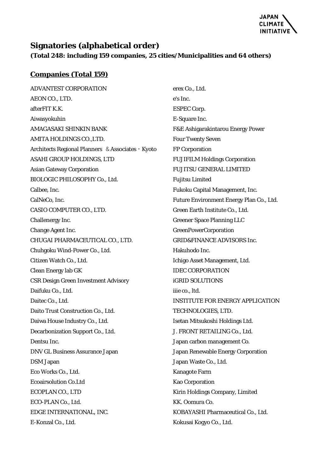

## **Signatories (alphabetical order)**

**(Total 248: including 159 companies, 25 cities/Municipalities and 64 others)**

## **Companies (Total 159)**

ADVANTEST CORPORATION AEON CO., LTD. afterFIT K.K. Aiwasyokuhin AMAGASAKI SHINKIN BANK AMITA HOLDINGS CO.,LTD. Architects Regional Planners &Associates・Kyoto ASAHI GROUP HOLDINGS, LTD Asian Gateway Corporation BIOLOGIC PHILOSOPHY Co., Ltd. Calbee, Inc. CalNeCo, Inc. CASIO COMPUTER CO., LTD. Challenergy Inc. Change Agent Inc. CHUGAI PHARMACEUTICAL CO., LTD. Chuhgoku Wind-Power Co., Ltd. Citizen Watch Co., Ltd. Clean Energy lab GK CSR Design Green Investment Advisory Daifuku Co., Ltd. Daitec Co., Ltd. Daito Trust Construction Co., Ltd. Daiwa House Industry Co., Ltd. Decarbonization Support Co., Ltd. Dentsu Inc. DNV GL Business Assurance Japan DSM Japan Eco Works Co., Ltd. Ecoairsolution Co.Ltd ECOPLAN CO., LTD ECO-PLAN Co., Ltd. EDGE INTERNATIONAL, INC. E-Konzal Co., Ltd.

erex Co., Ltd. e's Inc. ESPEC Corp. E-Square Inc. F&E Ashigarakintarou Energy Power Four Twenty Seven FP Corporation FUJIFILM Holdings Corporation FUJITSU GENERAL LIMITED Fujitsu Limited Fukoku Capital Management, Inc. Future Environment Energy Plan Co., Ltd. Green Earth Institute Co., Ltd. Greener Space Planning LLC GreenPowerCorporation GRID&FINANCE ADVISORS Inc. Hakuhodo Inc. Ichigo Asset Management, Ltd. IDEC CORPORATION iGRID SOLUTIONS iiie co., ltd. INSTITUTE FOR ENERGY APPLICATION TECHNOLOGIES, LTD. Isetan Mitsukoshi Holdings Ltd. J. FRONT RETAILING Co., Ltd. Japan carbon management Co. Japan Renewable Energy Corporation Japan Waste Co., Ltd. Kanagote Farm Kao Corporation Kirin Holdings Company, Limited KK. Oomura Co. KOBAYASHI Pharmaceutical Co., Ltd. Kokusai Kogyo Co., Ltd.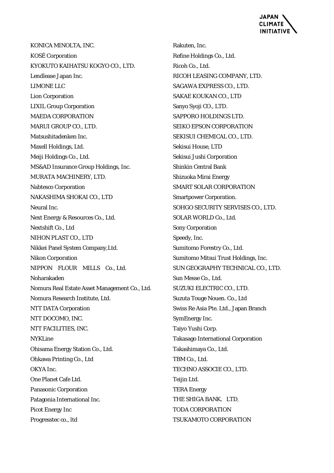

KONICA MINOLTA, INC. KOSÉ Corporation KYOKUTO KAIHATSU KOGYO CO., LTD. Lendlease Japan Inc. LIMONE LLC Lion Corporation LIXIL Group Corporation MAEDA CORPORATION MARUI GROUP CO., LTD. Matsushitadenken Inc. Maxell Holdings, Ltd. Meiji Holdings Co., Ltd. MS&AD Insurance Group Holdings, Inc. MURATA MACHINERY, LTD. Nabtesco Corporation NAKASHIMA SHOKAI CO., LTD Neural Inc. Next Energy & Resources Co., Ltd. Nextshift Co., Ltd NIHON PLAST CO., LTD Nikkei Panel System Company,Ltd. Nikon Corporation NIPPON FLOUR MILLS Co., Ltd. Noharakaden Nomura Real Estate Asset Management Co., Ltd. Nomura Research Institute, Ltd. NTT DATA Corporation NTT DOCOMO, INC. NTT FACILITIES, INC. **NYKLine** Ohisama Energy Station Co., Ltd. Ohkawa Printing Co., Ltd OKYA Inc. One Planet Cafe Ltd. Panasonic Corporation Patagonia International Inc. Picot Energy Inc Progresstec co., ltd

Rakuten, Inc. Refine Holdings Co., Ltd. Ricoh Co., Ltd. RICOH LEASING COMPANY, LTD. SAGAWA EXPRESS CO., LTD. SAKAE KOUKAN CO., LTD Sanyo Syoji CO., LTD. SAPPORO HOLDINGS LTD. SEIKO EPSON CORPORATION SEKISUI CHEMICAL CO., LTD. Sekisui House, LTD Sekisui Jushi Corporation Shinkin Central Bank Shizuoka Mirai Energy SMART SOLAR CORPORATION Smartpower Corporation. SOHGO SECURITY SERVISES CO., LTD. SOLAR WORLD Co., Ltd. Sony Corporation Speedy, Inc. Sumitomo Forestry Co., Ltd. Sumitomo Mitsui Trust Holdings, Inc. SUN GEOGRAPHY TECHNICAL CO., LTD. Sun Messe Co., Ltd. SUZUKI ELECTRIC CO., LTD. Suzuta Touge Nouen. Co., Ltd Swiss Re Asia Pte. Ltd., Japan Branch SymEnergy Inc. Taiyo Yushi Corp. Takasago International Corporation Takashimaya Co., Ltd. TBM Co., Ltd. TECHNO ASSOCIE CO., LTD. Teijin Ltd. TERA Energy THE SHIGA BANK, LTD. TODA CORPORATION TSUKAMOTO CORPORATION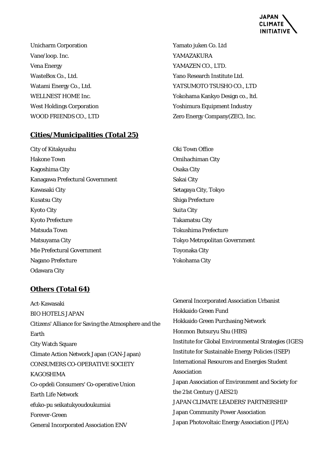

Unicharm Corporation Vane/loop. Inc. Vena Energy WasteBox Co., Ltd. Watami Energy Co., Ltd. WELLNEST HOME Inc. West Holdings Corporation WOOD FRIENDS CO., LTD

**Cities/Municipalities (Total 25)**

City of Kitakyushu Hakone Town Kagoshima City Kanagawa Prefectural Government Kawasaki City Kusatsu City Kyoto City Kyoto Prefecture Matsuda Town Matsuyama City Mie Prefectural Government Nagano Prefecture Odawara City

Yamato juken Co. Ltd YAMAZAKURA YAMAZEN CO., LTD. Yano Research Institute Ltd. YATSUMOTO TSUSHO CO., LTD Yokohama Kankyo Design co., ltd. Yoshimura Equipment Industry Zero Energy Company(ZEC), Inc.

Oki Town Office Omihachiman City Osaka City Sakai City Setagaya City, Tokyo Shiga Prefecture Suita City Takamatsu City Tokushima Prefecture Tokyo Metropolitan Government Toyonaka City Yokohama City

## **Others (Total 64)**

Act-Kawasaki BIO HOTELS JAPAN Citizens' Alliance for Saving the Atmosphere and the Earth City Watch Square Climate Action Network Japan (CAN-Japan) CONSUMERS CO-OPERATIVE SOCIETY KAGOSHIMA Co-opdeli Consumers' Co-operative Union Earth Life Network efuko-pu seikatukyoudoukumiai Forever-Green General Incorporated Association ENV

General Incorporated Association Urbanist Hokkaido Green Fund Hokkaido Green Purchasing Network Honmon Butsuryu Shu (HBS) Institute for Global Environmental Strategies (IGES) Institute for Sustainable Energy Policies (ISEP) International Resources and Energies Student Association Japan Association of Environment and Society for the 21st Century (JAES21) JAPAN CLIMATE LEADERS' PARTNERSHIP Japan Community Power Association Japan Photovoltaic Energy Association (JPEA)